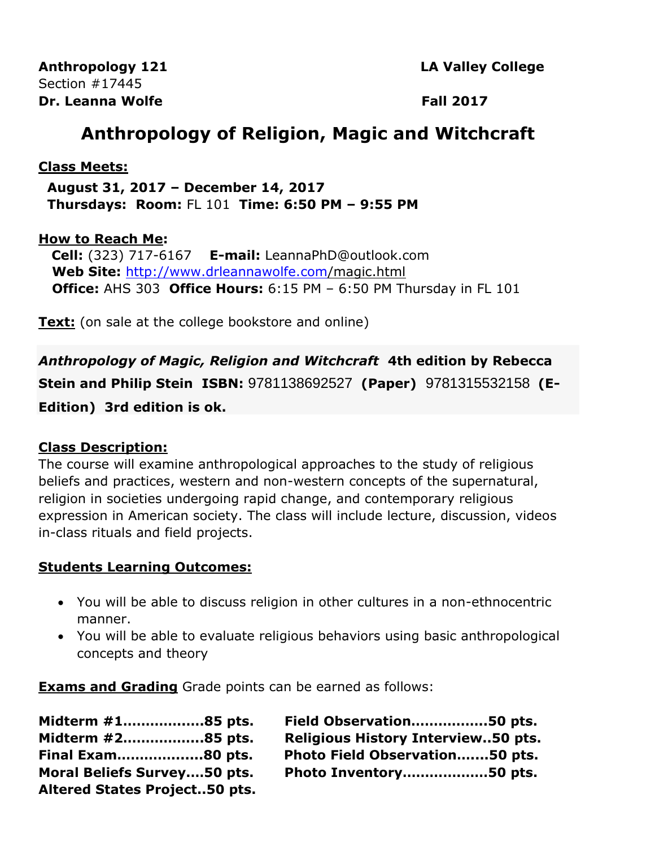**Anthropology 121 LA Valley College** Section #17445 **Dr.** Leanna Wolfe **Fall 2017** 

# **Anthropology of Religion, Magic and Witchcraft**

#### **Class Meets:**

 **August 31, 2017 – December 14, 2017 Thursdays: Room:** FL 101 **Time: 6:50 PM – 9:55 PM**

#### **How to Reach Me:**

 **Cell:** (323) 717-6167 **E-mail:** LeannaPhD@outlook.com **Web Site:** <http://www.drleannawolfe.com/>magic.html **Office:** AHS 303 **Office Hours:** 6:15 PM – 6:50 PM Thursday in FL 101

**Text:** (on sale at the college bookstore and online)

*Anthropology of Magic, Religion and Witchcraft* **4th edition by Rebecca Stein and Philip Stein ISBN:** 9781138692527 **(Paper)** 9781315532158 **(E-Edition) 3rd edition is ok.**

#### **Class Description:**

The course will examine anthropological approaches to the study of religious beliefs and practices, western and non-western concepts of the supernatural, religion in societies undergoing rapid change, and contemporary religious expression in American society. The class will include lecture, discussion, videos in-class rituals and field projects.

#### **Students Learning Outcomes:**

- You will be able to discuss religion in other cultures in a non-ethnocentric manner.
- You will be able to evaluate religious behaviors using basic anthropological concepts and theory

**Exams and Grading** Grade points can be earned as follows:

| Midterm #185 pts.                    | Field Observation50 pts.                  |
|--------------------------------------|-------------------------------------------|
| Midterm #285 pts.                    | <b>Religious History Interview50 pts.</b> |
| Final Exam80 pts.                    | Photo Field Observation50 pts.            |
| <b>Moral Beliefs Survey50 pts.</b>   | Photo Inventory50 pts.                    |
| <b>Altered States Project50 pts.</b> |                                           |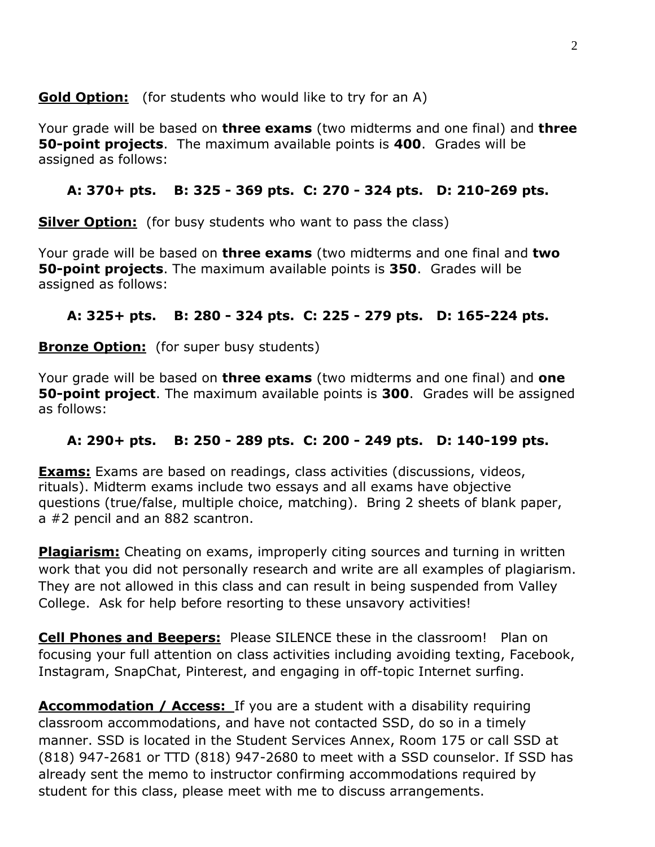**Gold Option:** (for students who would like to try for an A)

Your grade will be based on **three exams** (two midterms and one final) and **three 50-point projects**. The maximum available points is **400**. Grades will be assigned as follows:

## **A: 370+ pts. B: 325 - 369 pts. C: 270 - 324 pts. D: 210-269 pts.**

**Silver Option:** (for busy students who want to pass the class)

Your grade will be based on **three exams** (two midterms and one final and **two 50-point projects**. The maximum available points is **350**. Grades will be assigned as follows:

## **A: 325+ pts. B: 280 - 324 pts. C: 225 - 279 pts. D: 165-224 pts.**

**Bronze Option:** (for super busy students)

Your grade will be based on **three exams** (two midterms and one final) and **one 50-point project**. The maximum available points is **300**. Grades will be assigned as follows:

## **A: 290+ pts. B: 250 - 289 pts. C: 200 - 249 pts. D: 140-199 pts.**

**Exams:** Exams are based on readings, class activities (discussions, videos, rituals). Midterm exams include two essays and all exams have objective questions (true/false, multiple choice, matching).Bring 2 sheets of blank paper, a #2 pencil and an 882 scantron.

**Plagiarism:** Cheating on exams, improperly citing sources and turning in written work that you did not personally research and write are all examples of plagiarism. They are not allowed in this class and can result in being suspended from Valley College. Ask for help before resorting to these unsavory activities!

**Cell Phones and Beepers:** Please SILENCE these in the classroom! Plan on focusing your full attention on class activities including avoiding texting, Facebook, Instagram, SnapChat, Pinterest, and engaging in off-topic Internet surfing.

**Accommodation / Access:** If you are a student with a disability requiring classroom accommodations, and have not contacted SSD, do so in a timely manner. SSD is located in the Student Services Annex, Room 175 or call SSD at (818) 947-2681 or TTD (818) 947-2680 to meet with a SSD counselor. If SSD has already sent the memo to instructor confirming accommodations required by student for this class, please meet with me to discuss arrangements.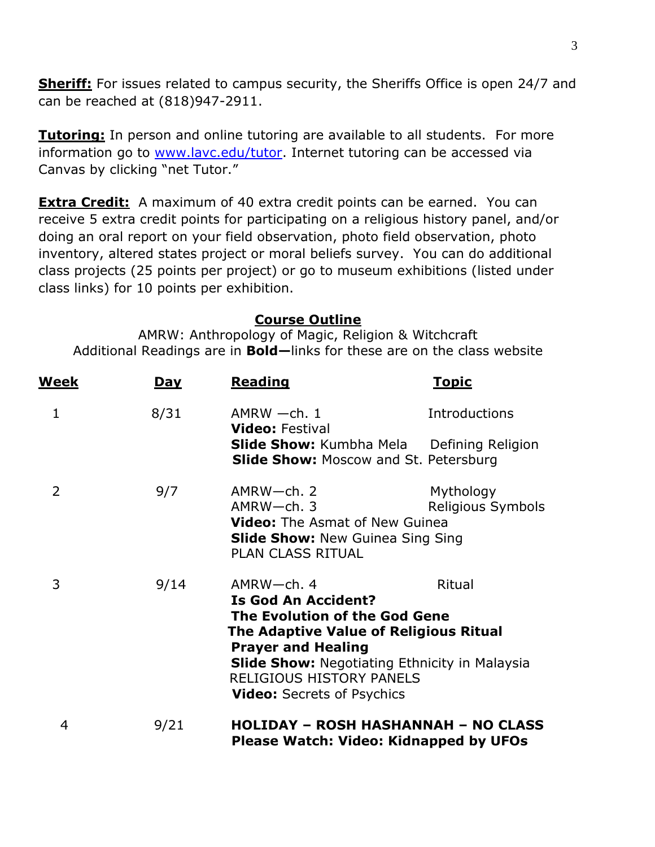**Sheriff:** For issues related to campus security, the Sheriffs Office is open 24/7 and can be reached at (818)947-2911.

**Tutoring:** In person and online tutoring are available to all students. For more information go to [www.lavc.edu/tutor.](http://www.lavc.edu/tutor) Internet tutoring can be accessed via Canvas by clicking "net Tutor."

**Extra Credit:** A maximum of 40 extra credit points can be earned. You can receive 5 extra credit points for participating on a religious history panel, and/or doing an oral report on your field observation, photo field observation, photo inventory, altered states project or moral beliefs survey. You can do additional class projects (25 points per project) or go to museum exhibitions (listed under class links) for 10 points per exhibition.

### **Course Outline**

AMRW: Anthropology of Magic, Religion & Witchcraft Additional Readings are in **Bold—**links for these are on the class website

| <u>Week</u> | <u>Day</u> | <b>Reading</b>                                                                                                                                                                                                                                                                                       | <u>Topic</u>                   |
|-------------|------------|------------------------------------------------------------------------------------------------------------------------------------------------------------------------------------------------------------------------------------------------------------------------------------------------------|--------------------------------|
| 1           | 8/31       | $AMRW -ch.1$<br><b>Video:</b> Festival                                                                                                                                                                                                                                                               | Introductions                  |
|             |            | <b>Slide Show:</b> Kumbha Mela<br><b>Slide Show:</b> Moscow and St. Petersburg                                                                                                                                                                                                                       | Defining Religion              |
| 2           | 9/7        | AMRW-ch. 2<br>$AMRW$ -ch. 3<br><b>Video:</b> The Asmat of New Guinea<br><b>Slide Show: New Guinea Sing Sing</b><br><b>PLAN CLASS RITUAL</b>                                                                                                                                                          | Mythology<br>Religious Symbols |
| 3           | 9/14       | $AMRW$ -ch. 4<br>Ritual<br><b>Is God An Accident?</b><br>The Evolution of the God Gene<br><b>The Adaptive Value of Religious Ritual</b><br><b>Prayer and Healing</b><br><b>Slide Show: Negotiating Ethnicity in Malaysia</b><br><b>RELIGIOUS HISTORY PANELS</b><br><b>Video:</b> Secrets of Psychics |                                |
| 4           | 9/21       | <b>HOLIDAY - ROSH HASHANNAH - NO CLASS</b><br>Please Watch: Video: Kidnapped by UFOs                                                                                                                                                                                                                 |                                |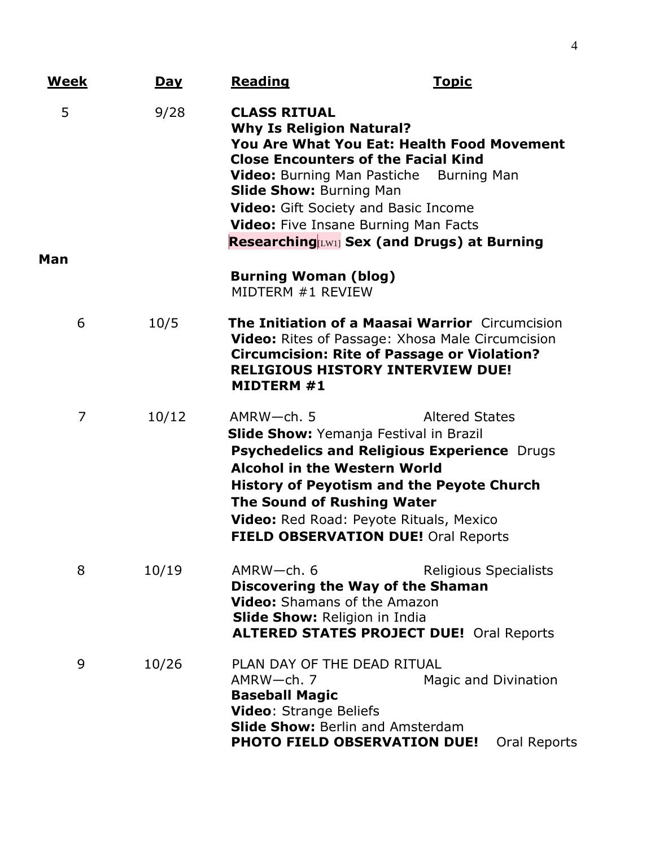| <u>Week</u> | <u>Day</u> | <b>Reading</b>                                                                                                                                                                                                                                                                                                                                                         | <u>Topic</u>                                                                                                                                                                                                |
|-------------|------------|------------------------------------------------------------------------------------------------------------------------------------------------------------------------------------------------------------------------------------------------------------------------------------------------------------------------------------------------------------------------|-------------------------------------------------------------------------------------------------------------------------------------------------------------------------------------------------------------|
| 5<br>Man    | 9/28       | <b>CLASS RITUAL</b><br><b>Why Is Religion Natural?</b><br><b>Close Encounters of the Facial Kind</b><br><b>Slide Show: Burning Man</b><br><b>Video:</b> Gift Society and Basic Income<br>Video: Five Insane Burning Man Facts                                                                                                                                          | <b>You Are What You Eat: Health Food Movement</b><br><b>Video:</b> Burning Man Pastiche Burning Man<br><b>Researching LW11</b> Sex (and Drugs) at Burning                                                   |
|             |            | <b>Burning Woman (blog)</b><br>MIDTERM #1 REVIEW                                                                                                                                                                                                                                                                                                                       |                                                                                                                                                                                                             |
| 6           | 10/5       | MIDTERM #1                                                                                                                                                                                                                                                                                                                                                             | <b>The Initiation of a Maasai Warrior</b> Circumcision<br><b>Video:</b> Rites of Passage: Xhosa Male Circumcision<br><b>Circumcision: Rite of Passage or Violation?</b><br>RELIGIOUS HISTORY INTERVIEW DUE! |
| 7           | 10/12      | $AMRW$ -ch. 5<br><b>Altered States</b><br><b>Slide Show:</b> Yemanja Festival in Brazil<br><b>Psychedelics and Religious Experience Drugs</b><br><b>Alcohol in the Western World</b><br><b>History of Peyotism and the Peyote Church</b><br><b>The Sound of Rushing Water</b><br><b>Video:</b> Red Road: Peyote Rituals, Mexico<br>FIELD OBSERVATION DUE! Oral Reports |                                                                                                                                                                                                             |
| 8           | 10/19      | $AMRW$ -ch. 6<br>Discovering the Way of the Shaman<br>Video: Shamans of the Amazon<br><b>Slide Show: Religion in India</b>                                                                                                                                                                                                                                             | <b>Religious Specialists</b><br><b>ALTERED STATES PROJECT DUE! Oral Reports</b>                                                                                                                             |
| 9           | 10/26      | PLAN DAY OF THE DEAD RITUAL<br>AMRW-ch. 7<br><b>Baseball Magic</b><br><b>Video:</b> Strange Beliefs<br><b>Slide Show: Berlin and Amsterdam</b><br><b>PHOTO FIELD OBSERVATION DUE!</b>                                                                                                                                                                                  | Magic and Divination<br>Oral Reports                                                                                                                                                                        |